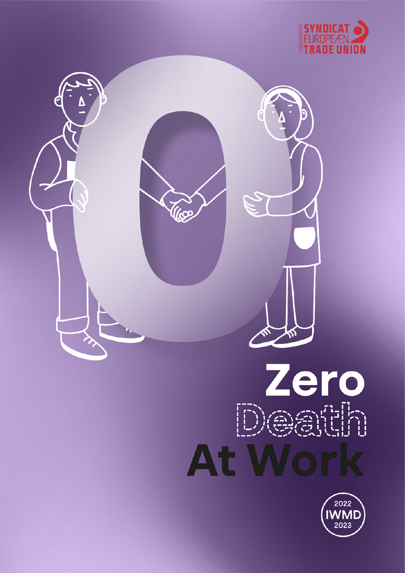



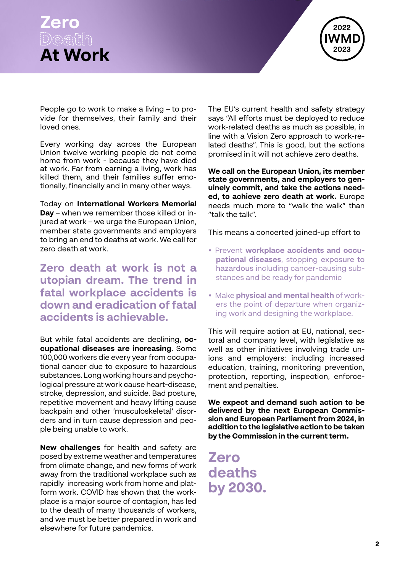



People go to work to make a living – to provide for themselves, their family and their loved ones.

Every working day across the European Union twelve working people do not come home from work - because they have died at work. Far from earning a living, work has killed them, and their families suffer emotionally, financially and in many other ways.

Today on **International Workers Memorial Day** – when we remember those killed or injured at work – we urge the European Union, member state governments and employers to bring an end to deaths at work. We call for zero death at work.

**Zero death at work is not a utopian dream. The trend in fatal workplace accidents is down and eradication of fatal accidents is achievable.**

But while fatal accidents are declining, **occupational diseases are increasing**. Some 100,000 workers die every year from occupational cancer due to exposure to hazardous substances. Long working hours and psychological pressure at work cause heart-disease, stroke, depression, and suicide. Bad posture, repetitive movement and heavy lifting cause backpain and other 'musculoskeletal' disorders and in turn cause depression and people being unable to work.

**New challenges** for health and safety are posed by extreme weather and temperatures from climate change, and new forms of work away from the traditional workplace such as rapidly increasing work from home and platform work. COVID has shown that the workplace is a major source of contagion, has led to the death of many thousands of workers, and we must be better prepared in work and elsewhere for future pandemics.

The EU's current health and safety strategy says "All efforts must be deployed to reduce work-related deaths as much as possible, in line with a Vision Zero approach to work-related deaths". This is good, but the actions promised in it will not achieve zero deaths.

**We call on the European Union, its member state governments, and employers to genuinely commit, and take the actions needed, to achieve zero death at work.** Europe needs much more to "walk the walk" than "talk the talk".

This means a concerted joined-up effort to

- Prevent **workplace accidents and occupational diseases**, stopping exposure to hazardous including cancer-causing substances and be ready for pandemic
- Make **physical and mental health** of workers the point of departure when organizing work and designing the workplace.

This will require action at EU, national, sectoral and company level, with legislative as well as other initiatives involving trade unions and employers: including increased education, training, monitoring prevention, protection, reporting, inspection, enforcement and penalties.

**We expect and demand such action to be delivered by the next European Commission and European Parliament from 2024, in addition to the legislative action to be taken by the Commission in the current term.** 

**Zero deaths by 2030.**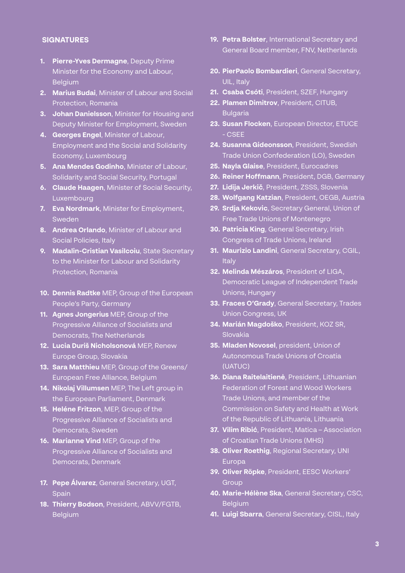## **SIGNATURES**

- **1. Pierre-Yves Dermagne**, Deputy Prime Minister for the Economy and Labour, **Belgium**
- **2. Marius Budai**, Minister of Labour and Social Protection, Romania
- **3. Johan Danielsson**, Minister for Housing and Deputy Minister for Employment, Sweden
- **4. Georges Engel**, Minister of Labour, Employment and the Social and Solidarity Economy, Luxembourg
- **5. Ana Mendes Godinho**, Minister of Labour, Solidarity and Social Security, Portugal
- **6. Claude Haagen**, Minister of Social Security, Luxembourg
- **7. Eva Nordmark**, Minister for Employment, Sweden
- **8. Andrea Orlando**, Minister of Labour and Social Policies, Italy
- **9. Madalin-Cristian Vasilcoiu**, State Secretary to the Minister for Labour and Solidarity Protection, Romania
- **10. Dennis Radtke** MEP, Group of the European People's Party, Germany
- **11. Agnes Jongerius** MEP, Group of the Progressive Alliance of Socialists and Democrats, The Netherlands
- **12. Lucia Duriš Nicholsonová** MEP, Renew Europe Group, Slovakia
- **13. Sara Matthieu** MEP, Group of the Greens/ European Free Alliance, Belgium
- **14. Nikolaj Villumsen** MEP, The Left group in the European Parliament, Denmark
- **15. Heléne Fritzon**, MEP, Group of the Progressive Alliance of Socialists and Democrats, Sweden
- **16. Marianne Vind** MEP, Group of the Progressive Alliance of Socialists and Democrats, Denmark
- **17. Pepe Álvarez**, General Secretary, UGT, Spain
- **18. Thierry Bodson**, President, ABVV/FGTB, **Belgium**
- **19. Petra Bolster**, International Secretary and General Board member, FNV, Netherlands
- **20. PierPaolo Bombardieri**, General Secretary, UIL, Italy
- **21. Csaba Csóti**, President, SZEF, Hungary
- **22. Plamen Dimitrov**, President, CITUB, **Bulgaria**
- **23. Susan Flocken**, European Director, ETUCE - CSEE
- **24. Susanna Gideonsson**, President, Swedish Trade Union Confederation (LO), Sweden
- **25. Nayla Glaise**, President, Eurocadres
- **26. Reiner Hoffmann**, President, DGB, Germany
- **27. Lidija Jerkič**, President, ZSSS, Slovenia
- **28. Wolfgang Katzian**, President, OEGB, Austria
- **29. Srdja Kekovic**, Secretary General, Union of Free Trade Unions of Montenegro
- **30. Patricia King**, General Secretary, Irish Congress of Trade Unions, Ireland
- **31. Maurizio Landini**, General Secretary, CGIL, **Italy**
- **32. Melinda Mészáros**, President of LIGA, Democratic League of Independent Trade Unions, Hungary
- **33. Fraces O'Grady**, General Secretary, Trades Union Congress, UK
- **34. Marián Magdoško**, President, KOZ SR, Slovakia
- **35. Mladen Novosel**, president, Union of Autonomous Trade Unions of Croatia (UATUC)
- **36. Diana Raitelaitienė**, President, Lithuanian Federation of Forest and Wood Workers Trade Unions, and member of the Commission on Safety and Health at Work of the Republic of Lithuania, Lithuania
- **37. Vilim Ribić**, President, Matica Association of Croatian Trade Unions (MHS)
- **38. Oliver Roethig**, Regional Secretary, UNI Europa
- **39. Oliver Röpke**, President, EESC Workers' **Group**
- **40. Marie-Hélène Ska**, General Secretary, CSC, **Belgium**
- **41. Luigi Sbarra**, General Secretary, CISL, Italy